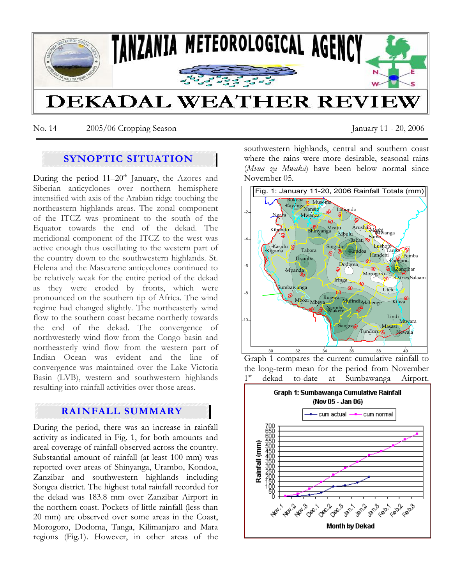

No. 14 2005/06 Cropping Season January 11 - 20, 2006

# **SYNOPTIC SITUATION**

During the period  $11-20<sup>th</sup>$  January, the Azores and Siberian anticyclones over northern hemisphere intensified with axis of the Arabian ridge touching the northeastern highlands areas. The zonal component of the ITCZ was prominent to the south of the Equator towards the end of the dekad. The meridional component of the ITCZ to the west was active enough thus oscillating to the western part of the country down to the southwestern highlands. St. Helena and the Mascarene anticyclones continued to be relatively weak for the entire period of the dekad as they were eroded by fronts, which were pronounced on the southern tip of Africa. The wind regime had changed slightly. The northeasterly wind flow to the southern coast became northerly towards the end of the dekad. The convergence of northwesterly wind flow from the Congo basin and northeasterly wind flow from the western part of Indian Ocean was evident and the line of convergence was maintained over the Lake Victoria Basin (LVB), western and southwestern highlands resulting into rainfall activities over those areas.

# **RAINFALL SUMMARY**

During the period, there was an increase in rainfall activity as indicated in Fig. 1, for both amounts and areal coverage of rainfall observed across the country. Substantial amount of rainfall (at least 100 mm) was reported over areas of Shinyanga, Urambo, Kondoa, Zanzibar and southwestern highlands including Songea district. The highest total rainfall recorded for the dekad was 183.8 mm over Zanzibar Airport in the northern coast. Pockets of little rainfall (less than 20 mm) are observed over some areas in the Coast, Morogoro, Dodoma, Tanga, Kilimanjaro and Mara regions (Fig.1). However, in other areas of the southwestern highlands, central and southern coast where the rains were more desirable, seasonal rains (*Mvua za Mwaka*) have been below normal since November 05.



Graph 1 compares the current cumulative rainfall to the long-term mean for the period from November 1<sup>st</sup> dekad to-date at Sumbawanga Airport.